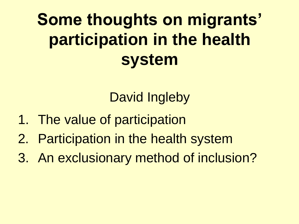## **Some thoughts on migrants' participation in the health system**

David Ingleby

- 1. The value of participation
- 2. Participation in the health system
- 3. An exclusionary method of inclusion?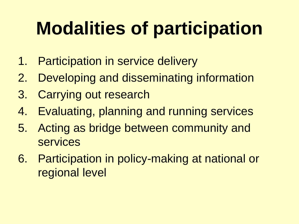# **Modalities of participation**

- 1. Participation in service delivery
- 2. Developing and disseminating information
- 3. Carrying out research
- 4. Evaluating, planning and running services
- 5. Acting as bridge between community and services
- 6. Participation in policy-making at national or regional level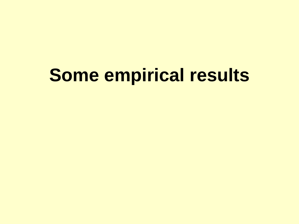# **Some empirical results**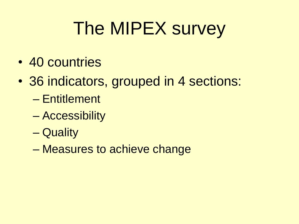# The MIPEX survey

- 40 countries
- 36 indicators, grouped in 4 sections:
	- Entitlement
	- Accessibility
	- Quality
	- Measures to achieve change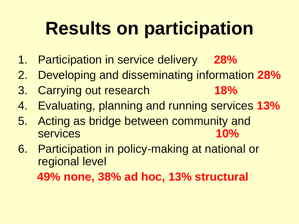# **Results on participation**

- 1. Participation in service delivery **28%**
- 2. Developing and disseminating information **28%**
- 3. Carrying out research **18%**
- 4. Evaluating, planning and running services **13%**
- 5. Acting as bridge between community and services **10%**
- 6. Participation in policy-making at national or regional level  **49% none, 38% ad hoc, 13% structural**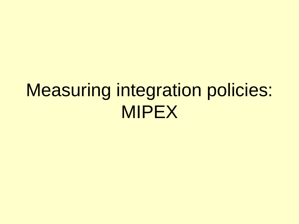## Measuring integration policies: MIPEX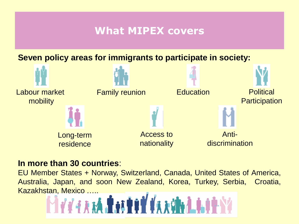#### **What MIPEX covers**

**Seven policy areas for immigrants to participate in society:**



#### **In more than 30 countries**:

EU Member States + Norway, Switzerland, Canada, United States of America, Australia, Japan, and soon New Zealand, Korea, Turkey, Serbia, Croatia,

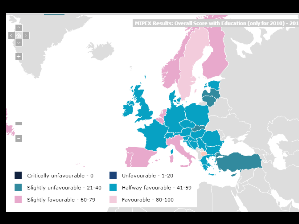MIPEX Results: Overall Score with Education (only for 2010) - 201

Critically unfavourable - 0

Slightly unfavourable - 21-40

Slightly favourable - 60-79

Unfavourable - 1-20

Halfway favourable - 41-59

Favourable - 80-100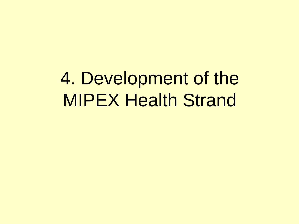## 4. Development of the MIPEX Health Strand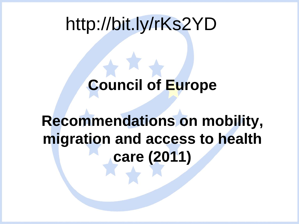### http://bit.ly/rKs2YD

#### **Council of Europe**

#### **Recommendations on mobility, migration and access to health care (2011)**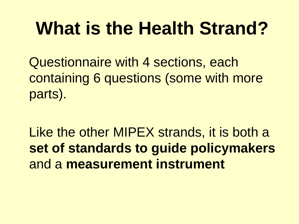# **What is the Health Strand?**

 Questionnaire with 4 sections, each containing 6 questions (some with more parts).

Like the other MIPEX strands, it is both a **set of standards to guide policymakers** and a **measurement instrument**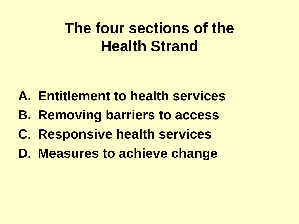#### **The four sections of the Health Strand**

- **A. Entitlement to health services**
- **B. Removing barriers to access**
- **C. Responsive health services**
- **D. Measures to achieve change**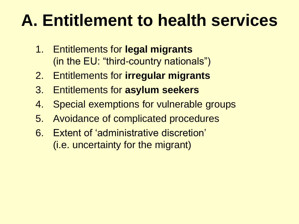## **A. Entitlement to health services**

- 1. Entitlements for **legal migrants** (in the EU: "third-country nationals")
- 2. Entitlements for **irregular migrants**
- 3. Entitlements for **asylum seekers**
- 4. Special exemptions for vulnerable groups
- 5. Avoidance of complicated procedures
- 6. Extent of 'administrative discretion' (i.e. uncertainty for the migrant)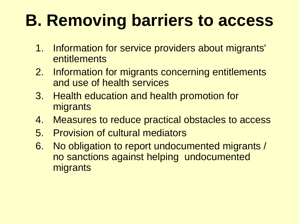## **B. Removing barriers to access**

- 1. Information for service providers about migrants' entitlements
- 2. Information for migrants concerning entitlements and use of health services
- 3. Health education and health promotion for migrants
- 4. Measures to reduce practical obstacles to access
- 5. Provision of cultural mediators
- 6. No obligation to report undocumented migrants / no sanctions against helping undocumented migrants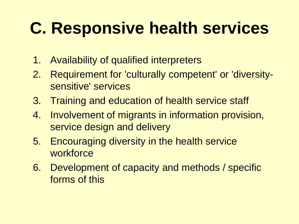## **C. Responsive health services**

- 1. Availability of qualified interpreters
- 2. Requirement for 'culturally competent' or 'diversitysensitive' services
- 3. Training and education of health service staff
- 4. Involvement of migrants in information provision, service design and delivery
- 5. Encouraging diversity in the health service workforce
- 6. Development of capacity and methods / specific forms of this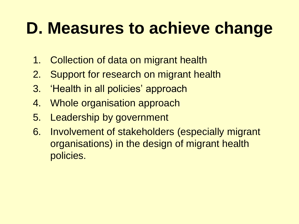### **D. Measures to achieve change**

- 1. Collection of data on migrant health
- 2. Support for research on migrant health
- 3. 'Health in all policies' approach
- 4. Whole organisation approach
- 5. Leadership by government
- 6. Involvement of stakeholders (especially migrant organisations) in the design of migrant health policies.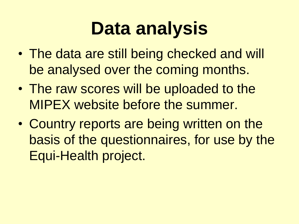# **Data analysis**

- The data are still being checked and will be analysed over the coming months.
- The raw scores will be uploaded to the MIPEX website before the summer.
- Country reports are being written on the basis of the questionnaires, for use by the Equi-Health project.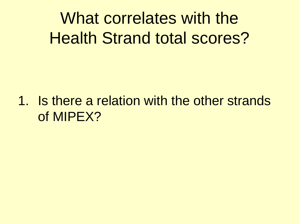What correlates with the Health Strand total scores?

1. Is there a relation with the other strands of MIPEX?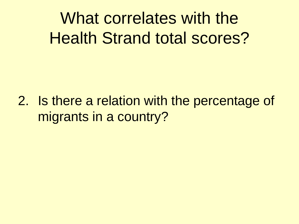What correlates with the Health Strand total scores?

2. Is there a relation with the percentage of migrants in a country?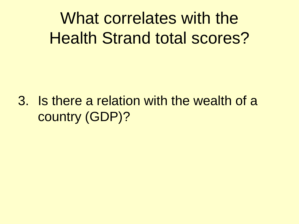What correlates with the Health Strand total scores?

3. Is there a relation with the wealth of a country (GDP)?